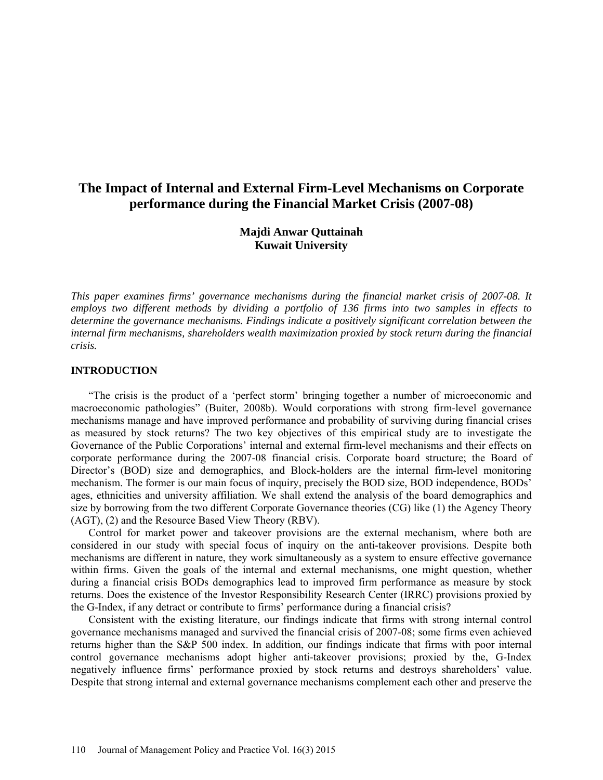# **The Impact of Internal and External Firm-Level Mechanisms on Corporate performance during the Financial Market Crisis (2007-08)**

# **Majdi Anwar Quttainah Kuwait University**

*This paper examines firms' governance mechanisms during the financial market crisis of 2007-08. It employs two different methods by dividing a portfolio of 136 firms into two samples in effects to determine the governance mechanisms. Findings indicate a positively significant correlation between the internal firm mechanisms, shareholders wealth maximization proxied by stock return during the financial crisis.*

### **INTRODUCTION**

"The crisis is the product of a 'perfect storm' bringing together a number of microeconomic and macroeconomic pathologies" (Buiter, 2008b). Would corporations with strong firm-level governance mechanisms manage and have improved performance and probability of surviving during financial crises as measured by stock returns? The two key objectives of this empirical study are to investigate the Governance of the Public Corporations' internal and external firm-level mechanisms and their effects on corporate performance during the 2007-08 financial crisis. Corporate board structure; the Board of Director's (BOD) size and demographics, and Block-holders are the internal firm-level monitoring mechanism. The former is our main focus of inquiry, precisely the BOD size, BOD independence, BODs' ages, ethnicities and university affiliation. We shall extend the analysis of the board demographics and size by borrowing from the two different Corporate Governance theories (CG) like (1) the Agency Theory (AGT), (2) and the Resource Based View Theory (RBV).

Control for market power and takeover provisions are the external mechanism, where both are considered in our study with special focus of inquiry on the anti-takeover provisions. Despite both mechanisms are different in nature, they work simultaneously as a system to ensure effective governance within firms. Given the goals of the internal and external mechanisms, one might question, whether during a financial crisis BODs demographics lead to improved firm performance as measure by stock returns. Does the existence of the Investor Responsibility Research Center (IRRC) provisions proxied by the G-Index, if any detract or contribute to firms' performance during a financial crisis?

Consistent with the existing literature, our findings indicate that firms with strong internal control governance mechanisms managed and survived the financial crisis of 2007-08; some firms even achieved returns higher than the S&P 500 index. In addition, our findings indicate that firms with poor internal control governance mechanisms adopt higher anti-takeover provisions; proxied by the, G-Index negatively influence firms' performance proxied by stock returns and destroys shareholders' value. Despite that strong internal and external governance mechanisms complement each other and preserve the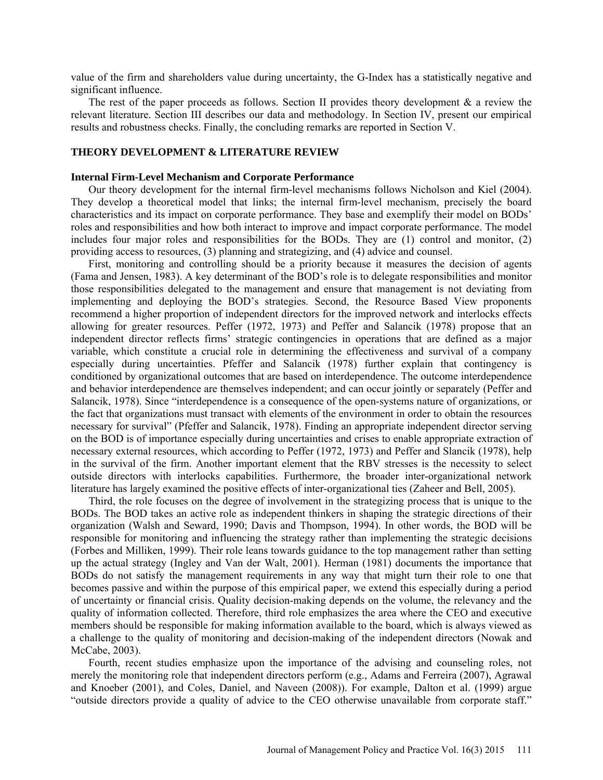value of the firm and shareholders value during uncertainty, the G-Index has a statistically negative and significant influence.

The rest of the paper proceeds as follows. Section II provides theory development  $\&$  a review the relevant literature. Section III describes our data and methodology. In Section IV, present our empirical results and robustness checks. Finally, the concluding remarks are reported in Section V.

### **THEORY DEVELOPMENT & LITERATURE REVIEW**

#### **Internal Firm-Level Mechanism and Corporate Performance**

Our theory development for the internal firm-level mechanisms follows Nicholson and Kiel (2004). They develop a theoretical model that links; the internal firm-level mechanism, precisely the board characteristics and its impact on corporate performance. They base and exemplify their model on BODs' roles and responsibilities and how both interact to improve and impact corporate performance. The model includes four major roles and responsibilities for the BODs. They are (1) control and monitor, (2) providing access to resources, (3) planning and strategizing, and (4) advice and counsel.

First, monitoring and controlling should be a priority because it measures the decision of agents (Fama and Jensen, 1983). A key determinant of the BOD's role is to delegate responsibilities and monitor those responsibilities delegated to the management and ensure that management is not deviating from implementing and deploying the BOD's strategies. Second, the Resource Based View proponents recommend a higher proportion of independent directors for the improved network and interlocks effects allowing for greater resources. Peffer (1972, 1973) and Peffer and Salancik (1978) propose that an independent director reflects firms' strategic contingencies in operations that are defined as a major variable, which constitute a crucial role in determining the effectiveness and survival of a company especially during uncertainties. Pfeffer and Salancik (1978) further explain that contingency is conditioned by organizational outcomes that are based on interdependence. The outcome interdependence and behavior interdependence are themselves independent; and can occur jointly or separately (Peffer and Salancik, 1978). Since "interdependence is a consequence of the open-systems nature of organizations, or the fact that organizations must transact with elements of the environment in order to obtain the resources necessary for survival" (Pfeffer and Salancik, 1978). Finding an appropriate independent director serving on the BOD is of importance especially during uncertainties and crises to enable appropriate extraction of necessary external resources, which according to Peffer (1972, 1973) and Peffer and Slancik (1978), help in the survival of the firm. Another important element that the RBV stresses is the necessity to select outside directors with interlocks capabilities. Furthermore, the broader inter-organizational network literature has largely examined the positive effects of inter-organizational ties (Zaheer and Bell, 2005).

Third, the role focuses on the degree of involvement in the strategizing process that is unique to the BODs. The BOD takes an active role as independent thinkers in shaping the strategic directions of their organization (Walsh and Seward, 1990; Davis and Thompson, 1994). In other words, the BOD will be responsible for monitoring and influencing the strategy rather than implementing the strategic decisions (Forbes and Milliken, 1999). Their role leans towards guidance to the top management rather than setting up the actual strategy (Ingley and Van der Walt, 2001). Herman (1981) documents the importance that BODs do not satisfy the management requirements in any way that might turn their role to one that becomes passive and within the purpose of this empirical paper, we extend this especially during a period of uncertainty or financial crisis. Quality decision-making depends on the volume, the relevancy and the quality of information collected. Therefore, third role emphasizes the area where the CEO and executive members should be responsible for making information available to the board, which is always viewed as a challenge to the quality of monitoring and decision-making of the independent directors (Nowak and McCabe, 2003).

Fourth, recent studies emphasize upon the importance of the advising and counseling roles, not merely the monitoring role that independent directors perform (e.g., Adams and Ferreira (2007), Agrawal and Knoeber (2001), and Coles, Daniel, and Naveen (2008)). For example, Dalton et al. (1999) argue "outside directors provide a quality of advice to the CEO otherwise unavailable from corporate staff."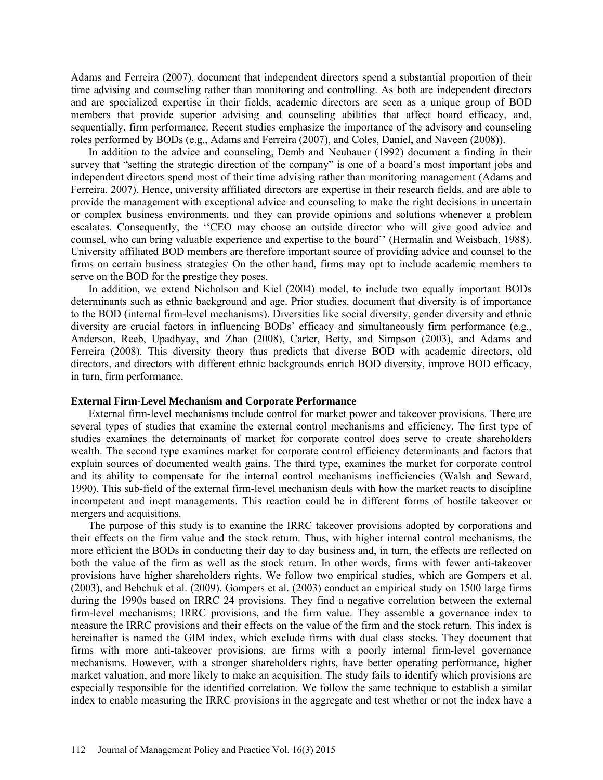Adams and Ferreira (2007), document that independent directors spend a substantial proportion of their time advising and counseling rather than monitoring and controlling. As both are independent directors and are specialized expertise in their fields, academic directors are seen as a unique group of BOD members that provide superior advising and counseling abilities that affect board efficacy, and, sequentially, firm performance. Recent studies emphasize the importance of the advisory and counseling roles performed by BODs (e.g., Adams and Ferreira (2007), and Coles, Daniel, and Naveen (2008)).

In addition to the advice and counseling, Demb and Neubauer (1992) document a finding in their survey that "setting the strategic direction of the company" is one of a board's most important jobs and independent directors spend most of their time advising rather than monitoring management (Adams and Ferreira, 2007). Hence, university affiliated directors are expertise in their research fields, and are able to provide the management with exceptional advice and counseling to make the right decisions in uncertain or complex business environments, and they can provide opinions and solutions whenever a problem escalates. Consequently, the ''CEO may choose an outside director who will give good advice and counsel, who can bring valuable experience and expertise to the board'' (Hermalin and Weisbach, 1988). University affiliated BOD members are therefore important source of providing advice and counsel to the firms on certain business strategies. On the other hand, firms may opt to include academic members to serve on the BOD for the prestige they poses.

In addition, we extend Nicholson and Kiel (2004) model, to include two equally important BODs determinants such as ethnic background and age. Prior studies, document that diversity is of importance to the BOD (internal firm-level mechanisms). Diversities like social diversity, gender diversity and ethnic diversity are crucial factors in influencing BODs' efficacy and simultaneously firm performance (e.g., Anderson, Reeb, Upadhyay, and Zhao (2008), Carter, Betty, and Simpson (2003), and Adams and Ferreira (2008). This diversity theory thus predicts that diverse BOD with academic directors, old directors, and directors with different ethnic backgrounds enrich BOD diversity, improve BOD efficacy, in turn, firm performance.

#### **External Firm-Level Mechanism and Corporate Performance**

External firm-level mechanisms include control for market power and takeover provisions. There are several types of studies that examine the external control mechanisms and efficiency. The first type of studies examines the determinants of market for corporate control does serve to create shareholders wealth. The second type examines market for corporate control efficiency determinants and factors that explain sources of documented wealth gains. The third type, examines the market for corporate control and its ability to compensate for the internal control mechanisms inefficiencies (Walsh and Seward, 1990). This sub-field of the external firm-level mechanism deals with how the market reacts to discipline incompetent and inept managements. This reaction could be in different forms of hostile takeover or mergers and acquisitions.

The purpose of this study is to examine the IRRC takeover provisions adopted by corporations and their effects on the firm value and the stock return. Thus, with higher internal control mechanisms, the more efficient the BODs in conducting their day to day business and, in turn, the effects are reflected on both the value of the firm as well as the stock return. In other words, firms with fewer anti-takeover provisions have higher shareholders rights. We follow two empirical studies, which are Gompers et al. (2003), and Bebchuk et al. (2009). Gompers et al. (2003) conduct an empirical study on 1500 large firms during the 1990s based on IRRC 24 provisions. They find a negative correlation between the external firm-level mechanisms; IRRC provisions, and the firm value. They assemble a governance index to measure the IRRC provisions and their effects on the value of the firm and the stock return. This index is hereinafter is named the GIM index, which exclude firms with dual class stocks. They document that firms with more anti-takeover provisions, are firms with a poorly internal firm-level governance mechanisms. However, with a stronger shareholders rights, have better operating performance, higher market valuation, and more likely to make an acquisition. The study fails to identify which provisions are especially responsible for the identified correlation. We follow the same technique to establish a similar index to enable measuring the IRRC provisions in the aggregate and test whether or not the index have a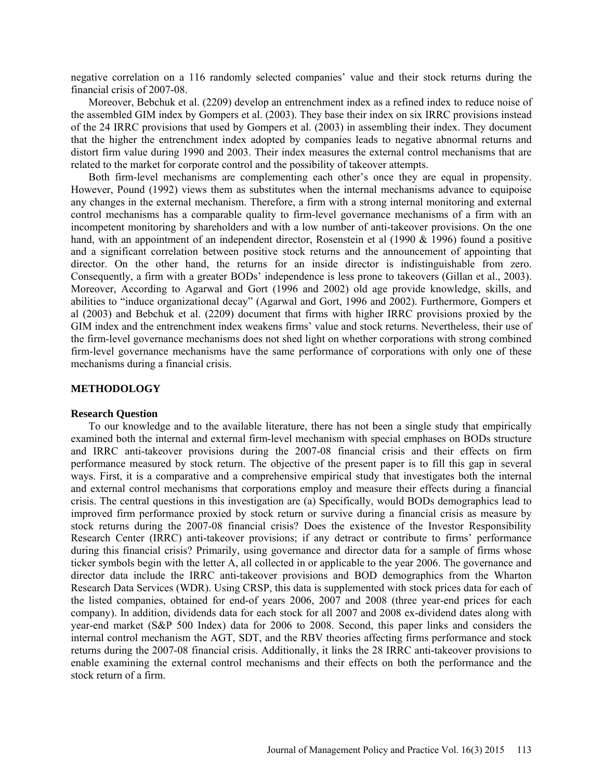negative correlation on a 116 randomly selected companies' value and their stock returns during the financial crisis of 2007-08.

Moreover, Bebchuk et al. (2209) develop an entrenchment index as a refined index to reduce noise of the assembled GIM index by Gompers et al. (2003). They base their index on six IRRC provisions instead of the 24 IRRC provisions that used by Gompers et al. (2003) in assembling their index. They document that the higher the entrenchment index adopted by companies leads to negative abnormal returns and distort firm value during 1990 and 2003. Their index measures the external control mechanisms that are related to the market for corporate control and the possibility of takeover attempts.

Both firm-level mechanisms are complementing each other's once they are equal in propensity. However, Pound (1992) views them as substitutes when the internal mechanisms advance to equipoise any changes in the external mechanism. Therefore, a firm with a strong internal monitoring and external control mechanisms has a comparable quality to firm-level governance mechanisms of a firm with an incompetent monitoring by shareholders and with a low number of anti-takeover provisions. On the one hand, with an appointment of an independent director, Rosenstein et al (1990 & 1996) found a positive and a significant correlation between positive stock returns and the announcement of appointing that director. On the other hand, the returns for an inside director is indistinguishable from zero. Consequently, a firm with a greater BODs' independence is less prone to takeovers (Gillan et al., 2003). Moreover, According to Agarwal and Gort (1996 and 2002) old age provide knowledge, skills, and abilities to "induce organizational decay" (Agarwal and Gort, 1996 and 2002). Furthermore, Gompers et al (2003) and Bebchuk et al. (2209) document that firms with higher IRRC provisions proxied by the GIM index and the entrenchment index weakens firms' value and stock returns. Nevertheless, their use of the firm-level governance mechanisms does not shed light on whether corporations with strong combined firm-level governance mechanisms have the same performance of corporations with only one of these mechanisms during a financial crisis.

#### **METHODOLOGY**

#### **Research Question**

To our knowledge and to the available literature, there has not been a single study that empirically examined both the internal and external firm-level mechanism with special emphases on BODs structure and IRRC anti-takeover provisions during the 2007-08 financial crisis and their effects on firm performance measured by stock return. The objective of the present paper is to fill this gap in several ways. First, it is a comparative and a comprehensive empirical study that investigates both the internal and external control mechanisms that corporations employ and measure their effects during a financial crisis. The central questions in this investigation are (a) Specifically, would BODs demographics lead to improved firm performance proxied by stock return or survive during a financial crisis as measure by stock returns during the 2007-08 financial crisis? Does the existence of the Investor Responsibility Research Center (IRRC) anti-takeover provisions; if any detract or contribute to firms' performance during this financial crisis? Primarily, using governance and director data for a sample of firms whose ticker symbols begin with the letter A, all collected in or applicable to the year 2006. The governance and director data include the IRRC anti-takeover provisions and BOD demographics from the Wharton Research Data Services (WDR). Using CRSP, this data is supplemented with stock prices data for each of the listed companies, obtained for end-of years 2006, 2007 and 2008 (three year-end prices for each company). In addition, dividends data for each stock for all 2007 and 2008 ex-dividend dates along with year-end market (S&P 500 Index) data for 2006 to 2008. Second, this paper links and considers the internal control mechanism the AGT, SDT, and the RBV theories affecting firms performance and stock returns during the 2007-08 financial crisis. Additionally, it links the 28 IRRC anti-takeover provisions to enable examining the external control mechanisms and their effects on both the performance and the stock return of a firm.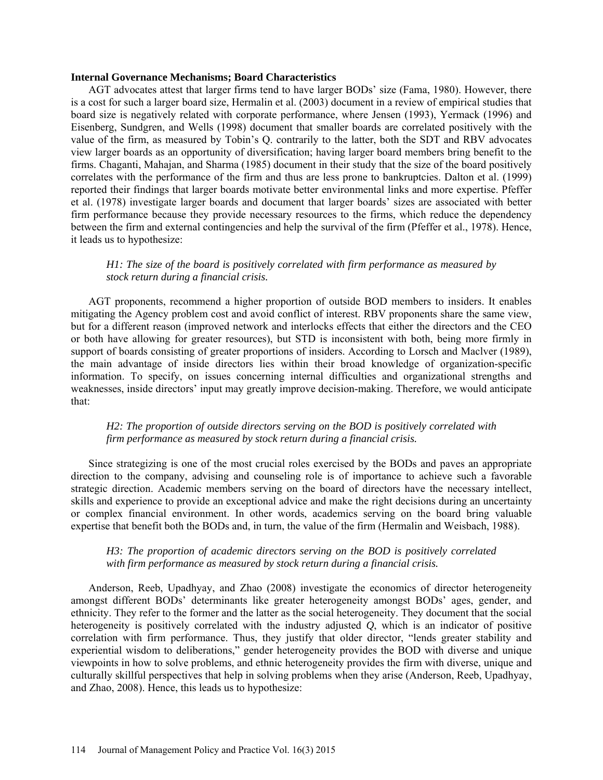#### **Internal Governance Mechanisms; Board Characteristics**

AGT advocates attest that larger firms tend to have larger BODs' size (Fama, 1980). However, there is a cost for such a larger board size, Hermalin et al. (2003) document in a review of empirical studies that board size is negatively related with corporate performance, where Jensen (1993), Yermack (1996) and Eisenberg, Sundgren, and Wells (1998) document that smaller boards are correlated positively with the value of the firm, as measured by Tobin's Q. contrarily to the latter, both the SDT and RBV advocates view larger boards as an opportunity of diversification; having larger board members bring benefit to the firms. Chaganti, Mahajan, and Sharma (1985) document in their study that the size of the board positively correlates with the performance of the firm and thus are less prone to bankruptcies. Dalton et al. (1999) reported their findings that larger boards motivate better environmental links and more expertise. Pfeffer et al. (1978) investigate larger boards and document that larger boards' sizes are associated with better firm performance because they provide necessary resources to the firms, which reduce the dependency between the firm and external contingencies and help the survival of the firm (Pfeffer et al., 1978). Hence, it leads us to hypothesize:

### *H1: The size of the board is positively correlated with firm performance as measured by stock return during a financial crisis.*

AGT proponents, recommend a higher proportion of outside BOD members to insiders. It enables mitigating the Agency problem cost and avoid conflict of interest. RBV proponents share the same view, but for a different reason (improved network and interlocks effects that either the directors and the CEO or both have allowing for greater resources), but STD is inconsistent with both, being more firmly in support of boards consisting of greater proportions of insiders. According to Lorsch and Maclver (1989), the main advantage of inside directors lies within their broad knowledge of organization-specific information. To specify, on issues concerning internal difficulties and organizational strengths and weaknesses, inside directors' input may greatly improve decision-making. Therefore, we would anticipate that:

### *H2: The proportion of outside directors serving on the BOD is positively correlated with firm performance as measured by stock return during a financial crisis.*

Since strategizing is one of the most crucial roles exercised by the BODs and paves an appropriate direction to the company, advising and counseling role is of importance to achieve such a favorable strategic direction. Academic members serving on the board of directors have the necessary intellect, skills and experience to provide an exceptional advice and make the right decisions during an uncertainty or complex financial environment. In other words, academics serving on the board bring valuable expertise that benefit both the BODs and, in turn, the value of the firm (Hermalin and Weisbach, 1988).

### *H3: The proportion of academic directors serving on the BOD is positively correlated with firm performance as measured by stock return during a financial crisis.*

Anderson, Reeb, Upadhyay, and Zhao (2008) investigate the economics of director heterogeneity amongst different BODs' determinants like greater heterogeneity amongst BODs' ages, gender, and ethnicity. They refer to the former and the latter as the social heterogeneity. They document that the social heterogeneity is positively correlated with the industry adjusted *Q*, which is an indicator of positive correlation with firm performance. Thus, they justify that older director, "lends greater stability and experiential wisdom to deliberations," gender heterogeneity provides the BOD with diverse and unique viewpoints in how to solve problems, and ethnic heterogeneity provides the firm with diverse, unique and culturally skillful perspectives that help in solving problems when they arise (Anderson, Reeb, Upadhyay, and Zhao, 2008). Hence, this leads us to hypothesize: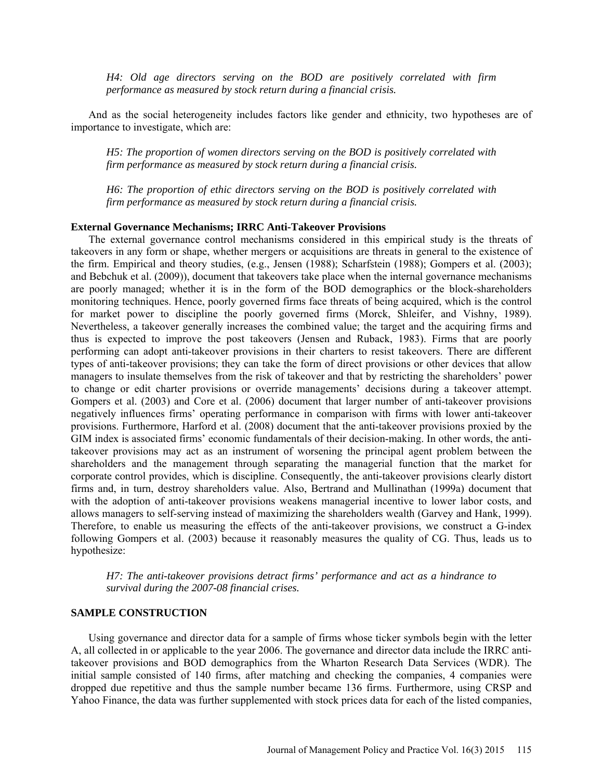*H4: Old age directors serving on the BOD are positively correlated with firm performance as measured by stock return during a financial crisis.*

And as the social heterogeneity includes factors like gender and ethnicity, two hypotheses are of importance to investigate, which are:

*H5: The proportion of women directors serving on the BOD is positively correlated with firm performance as measured by stock return during a financial crisis.*

*H6: The proportion of ethic directors serving on the BOD is positively correlated with firm performance as measured by stock return during a financial crisis.*

### **External Governance Mechanisms; IRRC Anti-Takeover Provisions**

The external governance control mechanisms considered in this empirical study is the threats of takeovers in any form or shape, whether mergers or acquisitions are threats in general to the existence of the firm. Empirical and theory studies, (e.g., Jensen (1988); Scharfstein (1988); Gompers et al. (2003); and Bebchuk et al. (2009)), document that takeovers take place when the internal governance mechanisms are poorly managed; whether it is in the form of the BOD demographics or the block-shareholders monitoring techniques. Hence, poorly governed firms face threats of being acquired, which is the control for market power to discipline the poorly governed firms (Morck, Shleifer, and Vishny, 1989). Nevertheless, a takeover generally increases the combined value; the target and the acquiring firms and thus is expected to improve the post takeovers (Jensen and Ruback, 1983). Firms that are poorly performing can adopt anti-takeover provisions in their charters to resist takeovers. There are different types of anti-takeover provisions; they can take the form of direct provisions or other devices that allow managers to insulate themselves from the risk of takeover and that by restricting the shareholders' power to change or edit charter provisions or override managements' decisions during a takeover attempt. Gompers et al. (2003) and Core et al. (2006) document that larger number of anti-takeover provisions negatively influences firms' operating performance in comparison with firms with lower anti-takeover provisions. Furthermore, Harford et al. (2008) document that the anti-takeover provisions proxied by the GIM index is associated firms' economic fundamentals of their decision-making. In other words, the antitakeover provisions may act as an instrument of worsening the principal agent problem between the shareholders and the management through separating the managerial function that the market for corporate control provides, which is discipline. Consequently, the anti-takeover provisions clearly distort firms and, in turn, destroy shareholders value. Also, Bertrand and Mullinathan (1999a) document that with the adoption of anti-takeover provisions weakens managerial incentive to lower labor costs, and allows managers to self-serving instead of maximizing the shareholders wealth (Garvey and Hank, 1999). Therefore, to enable us measuring the effects of the anti-takeover provisions, we construct a G-index following Gompers et al. (2003) because it reasonably measures the quality of CG. Thus, leads us to hypothesize:

*H7: The anti-takeover provisions detract firms' performance and act as a hindrance to survival during the 2007-08 financial crises.*

#### **SAMPLE CONSTRUCTION**

Using governance and director data for a sample of firms whose ticker symbols begin with the letter A, all collected in or applicable to the year 2006. The governance and director data include the IRRC antitakeover provisions and BOD demographics from the Wharton Research Data Services (WDR). The initial sample consisted of 140 firms, after matching and checking the companies, 4 companies were dropped due repetitive and thus the sample number became 136 firms. Furthermore, using CRSP and Yahoo Finance, the data was further supplemented with stock prices data for each of the listed companies,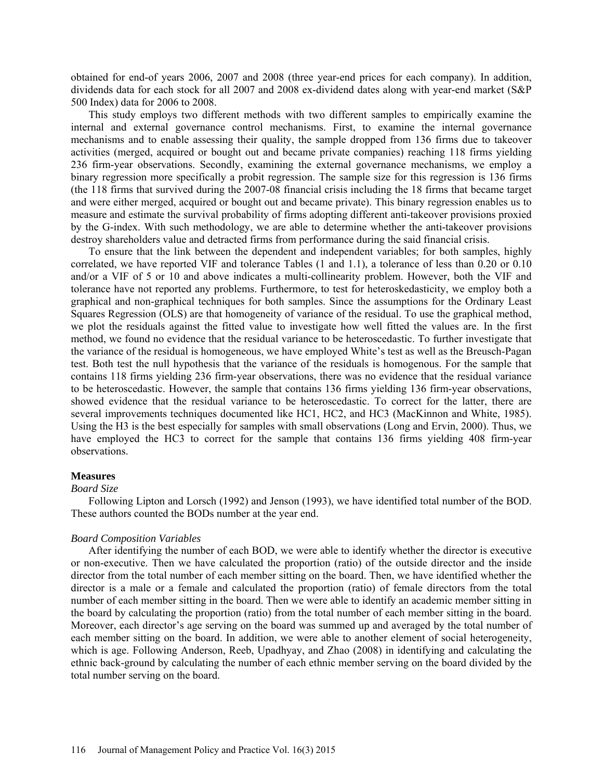obtained for end-of years 2006, 2007 and 2008 (three year-end prices for each company). In addition, dividends data for each stock for all 2007 and 2008 ex-dividend dates along with year-end market (S&P 500 Index) data for 2006 to 2008.

This study employs two different methods with two different samples to empirically examine the internal and external governance control mechanisms. First, to examine the internal governance mechanisms and to enable assessing their quality, the sample dropped from 136 firms due to takeover activities (merged, acquired or bought out and became private companies) reaching 118 firms yielding 236 firm-year observations. Secondly, examining the external governance mechanisms, we employ a binary regression more specifically a probit regression. The sample size for this regression is 136 firms (the 118 firms that survived during the 2007-08 financial crisis including the 18 firms that became target and were either merged, acquired or bought out and became private). This binary regression enables us to measure and estimate the survival probability of firms adopting different anti-takeover provisions proxied by the G-index. With such methodology, we are able to determine whether the anti-takeover provisions destroy shareholders value and detracted firms from performance during the said financial crisis.

To ensure that the link between the dependent and independent variables; for both samples, highly correlated, we have reported VIF and tolerance Tables (1 and 1.1), a tolerance of less than 0.20 or 0.10 and/or a VIF of 5 or 10 and above indicates a multi-collinearity problem. However, both the VIF and tolerance have not reported any problems. Furthermore, to test for heteroskedasticity, we employ both a graphical and non-graphical techniques for both samples. Since the assumptions for the Ordinary Least Squares Regression (OLS) are that homogeneity of variance of the residual. To use the graphical method, we plot the residuals against the fitted value to investigate how well fitted the values are. In the first method, we found no evidence that the residual variance to be heteroscedastic. To further investigate that the variance of the residual is homogeneous, we have employed White's test as well as the Breusch-Pagan test. Both test the null hypothesis that the variance of the residuals is homogenous. For the sample that contains 118 firms yielding 236 firm-year observations, there was no evidence that the residual variance to be heteroscedastic. However, the sample that contains 136 firms yielding 136 firm-year observations, showed evidence that the residual variance to be heteroscedastic. To correct for the latter, there are several improvements techniques documented like HC1, HC2, and HC3 (MacKinnon and White, 1985). Using the H3 is the best especially for samples with small observations (Long and Ervin, 2000). Thus, we have employed the HC3 to correct for the sample that contains 136 firms yielding 408 firm-year observations.

#### **Measures**

#### *Board Size*

Following Lipton and Lorsch (1992) and Jenson (1993), we have identified total number of the BOD. These authors counted the BODs number at the year end.

#### *Board Composition Variables*

After identifying the number of each BOD, we were able to identify whether the director is executive or non-executive. Then we have calculated the proportion (ratio) of the outside director and the inside director from the total number of each member sitting on the board. Then, we have identified whether the director is a male or a female and calculated the proportion (ratio) of female directors from the total number of each member sitting in the board. Then we were able to identify an academic member sitting in the board by calculating the proportion (ratio) from the total number of each member sitting in the board. Moreover, each director's age serving on the board was summed up and averaged by the total number of each member sitting on the board. In addition, we were able to another element of social heterogeneity, which is age. Following Anderson, Reeb, Upadhyay, and Zhao (2008) in identifying and calculating the ethnic back-ground by calculating the number of each ethnic member serving on the board divided by the total number serving on the board.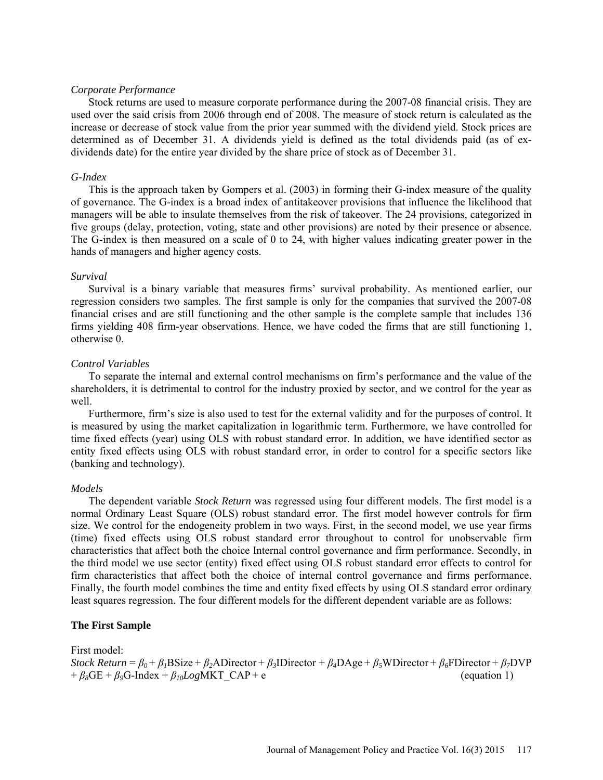### *Corporate Performance*

Stock returns are used to measure corporate performance during the 2007-08 financial crisis. They are used over the said crisis from 2006 through end of 2008. The measure of stock return is calculated as the increase or decrease of stock value from the prior year summed with the dividend yield. Stock prices are determined as of December 31. A dividends yield is defined as the total dividends paid (as of exdividends date) for the entire year divided by the share price of stock as of December 31.

### *G-Index*

This is the approach taken by Gompers et al. (2003) in forming their G-index measure of the quality of governance. The G-index is a broad index of antitakeover provisions that influence the likelihood that managers will be able to insulate themselves from the risk of takeover. The 24 provisions, categorized in five groups (delay, protection, voting, state and other provisions) are noted by their presence or absence. The G-index is then measured on a scale of 0 to 24, with higher values indicating greater power in the hands of managers and higher agency costs.

### *Survival*

Survival is a binary variable that measures firms' survival probability. As mentioned earlier, our regression considers two samples. The first sample is only for the companies that survived the 2007-08 financial crises and are still functioning and the other sample is the complete sample that includes 136 firms yielding 408 firm-year observations. Hence, we have coded the firms that are still functioning 1, otherwise 0.

### *Control Variables*

To separate the internal and external control mechanisms on firm's performance and the value of the shareholders, it is detrimental to control for the industry proxied by sector, and we control for the year as well

Furthermore, firm's size is also used to test for the external validity and for the purposes of control. It is measured by using the market capitalization in logarithmic term. Furthermore, we have controlled for time fixed effects (year) using OLS with robust standard error. In addition, we have identified sector as entity fixed effects using OLS with robust standard error, in order to control for a specific sectors like (banking and technology).

### *Models*

The dependent variable *Stock Return* was regressed using four different models. The first model is a normal Ordinary Least Square (OLS) robust standard error. The first model however controls for firm size. We control for the endogeneity problem in two ways. First, in the second model, we use year firms (time) fixed effects using OLS robust standard error throughout to control for unobservable firm characteristics that affect both the choice Internal control governance and firm performance. Secondly, in the third model we use sector (entity) fixed effect using OLS robust standard error effects to control for firm characteristics that affect both the choice of internal control governance and firms performance. Finally, the fourth model combines the time and entity fixed effects by using OLS standard error ordinary least squares regression. The four different models for the different dependent variable are as follows:

### **The First Sample**

#### First model:

*Stock Return* =  $\beta_0 + \beta_1 BSize + \beta_2 ADirector + \beta_3 IDirector + \beta_4 DAge + \beta_5 WDirector + \beta_6 FDirector + \beta_7 DVD$  $+ \beta_8$ GE +  $\beta_9$ G-Index +  $\beta_{10}LogMKT$  CAP + e (equation 1)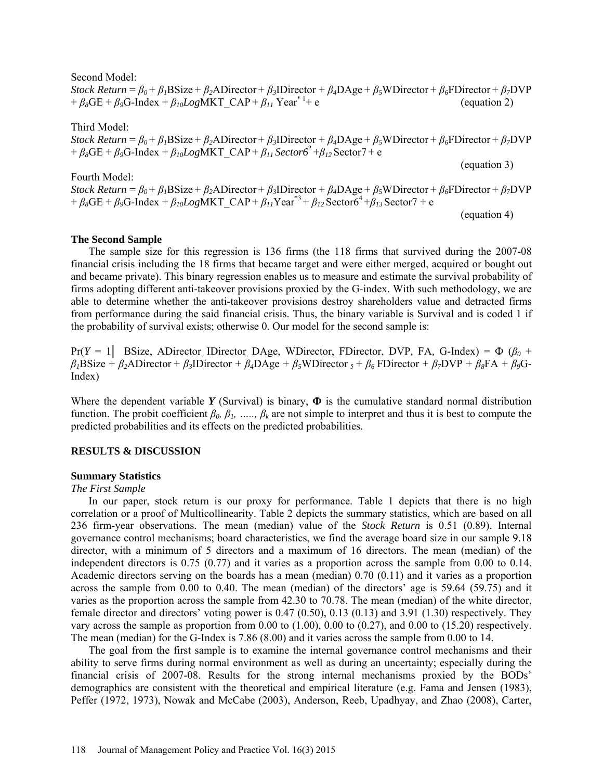Second Model:

*Stock Return* = *β0* + *β1*BSize + *β2*ADirector + *β3*IDirector + *β4*DAge + *β5*WDirector + *β6*FDirector + *β7*DVP +  $\beta_8$ GE +  $\beta_9$ G-Index +  $\beta_{10}LogMKT$  CAP +  $\beta_{11}$  Year<sup>\* 1</sup>+ e  $(e$  (equation 2)

Third Model: *Stock Return* =  $\beta_0 + \beta_1 BSize + \beta_2 ADirector + \beta_3 IDirector + \beta_4 DAge + \beta_5 WDirector + \beta_6 FDirector + \beta_7 DVP$  $+ \beta_8$ GE +  $\beta_9$ G-Index +  $\beta_{10}LogMKT$  CAP +  $\beta_{11}$  Sector6<sup>2</sup> +  $\beta_{12}$  Sector7 + e

Fourth Model: *Stock Return* = *β0* + *β1*BSize + *β2*ADirector + *β3*IDirector + *β4*DAge + *β5*WDirector + *β6*FDirector + *β7*DVP +  $\beta_8$ GE +  $\beta_9$ G-Index +  $\beta_{10}LogMKT$  CAP +  $\beta_{11}Year^{3} + \beta_{12}Sector6^4 + \beta_{13}Sector7 + e$ 

(equation 4)

(equation 3)

### **The Second Sample**

The sample size for this regression is 136 firms (the 118 firms that survived during the 2007-08 financial crisis including the 18 firms that became target and were either merged, acquired or bought out and became private). This binary regression enables us to measure and estimate the survival probability of firms adopting different anti-takeover provisions proxied by the G-index. With such methodology, we are able to determine whether the anti-takeover provisions destroy shareholders value and detracted firms from performance during the said financial crisis. Thus, the binary variable is Survival and is coded 1 if the probability of survival exists; otherwise 0. Our model for the second sample is:

Pr( $Y = 1$  BSize, ADirector, IDirector, DAge, WDirector, FDirector, DVP, FA, G-Index) =  $\Phi$  ( $\beta_0$  + *β1*BSize + *β2*ADirector + *β3*IDirector + *β4*DAge + *β5*WDirector 5 + *β6* FDirector + *β7*DVP + *β8*FA + *β9*G-Index)

Where the dependent variable  $Y$  (Survival) is binary,  $\Phi$  is the cumulative standard normal distribution function. The probit coefficient  $\beta_0$ ,  $\beta_1$ , …..,  $\beta_k$  are not simple to interpret and thus it is best to compute the predicted probabilities and its effects on the predicted probabilities.

### **RESULTS & DISCUSSION**

### **Summary Statistics**

### *The First Sample*

In our paper, stock return is our proxy for performance. Table 1 depicts that there is no high correlation or a proof of Multicollinearity. Table 2 depicts the summary statistics, which are based on all 236 firm-year observations. The mean (median) value of the *Stock Return* is 0.51 (0.89). Internal governance control mechanisms; board characteristics, we find the average board size in our sample 9.18 director, with a minimum of 5 directors and a maximum of 16 directors. The mean (median) of the independent directors is 0.75 (0.77) and it varies as a proportion across the sample from 0.00 to 0.14. Academic directors serving on the boards has a mean (median) 0.70 (0.11) and it varies as a proportion across the sample from 0.00 to 0.40. The mean (median) of the directors' age is 59.64 (59.75) and it varies as the proportion across the sample from 42.30 to 70.78. The mean (median) of the white director, female director and directors' voting power is 0.47 (0.50), 0.13 (0.13) and 3.91 (1.30) respectively. They vary across the sample as proportion from 0.00 to (1.00), 0.00 to (0.27), and 0.00 to (15.20) respectively. The mean (median) for the G-Index is 7.86 (8.00) and it varies across the sample from 0.00 to 14.

The goal from the first sample is to examine the internal governance control mechanisms and their ability to serve firms during normal environment as well as during an uncertainty; especially during the financial crisis of 2007-08. Results for the strong internal mechanisms proxied by the BODs' demographics are consistent with the theoretical and empirical literature (e.g. Fama and Jensen (1983), Peffer (1972, 1973), Nowak and McCabe (2003), Anderson, Reeb, Upadhyay, and Zhao (2008), Carter,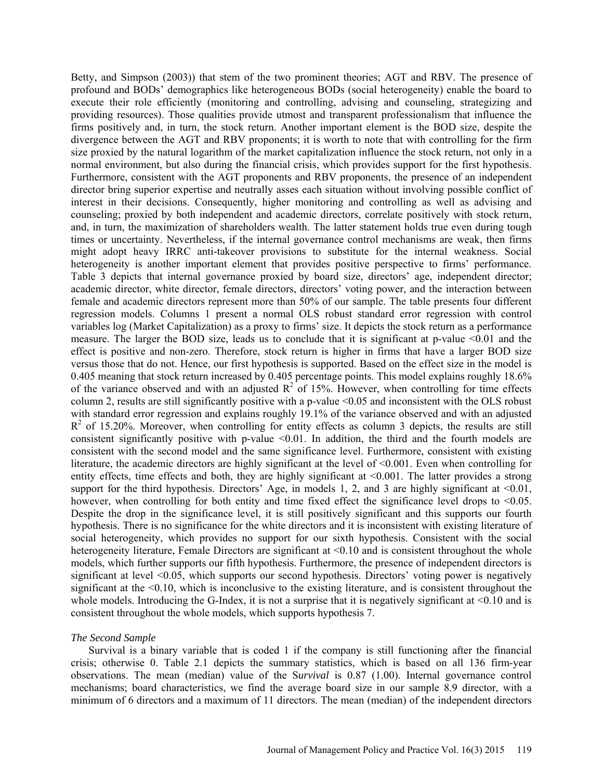Betty, and Simpson (2003)) that stem of the two prominent theories; AGT and RBV. The presence of profound and BODs' demographics like heterogeneous BODs (social heterogeneity) enable the board to execute their role efficiently (monitoring and controlling, advising and counseling, strategizing and providing resources). Those qualities provide utmost and transparent professionalism that influence the firms positively and, in turn, the stock return. Another important element is the BOD size, despite the divergence between the AGT and RBV proponents; it is worth to note that with controlling for the firm size proxied by the natural logarithm of the market capitalization influence the stock return, not only in a normal environment, but also during the financial crisis, which provides support for the first hypothesis. Furthermore, consistent with the AGT proponents and RBV proponents, the presence of an independent director bring superior expertise and neutrally asses each situation without involving possible conflict of interest in their decisions. Consequently, higher monitoring and controlling as well as advising and counseling; proxied by both independent and academic directors, correlate positively with stock return, and, in turn, the maximization of shareholders wealth. The latter statement holds true even during tough times or uncertainty. Nevertheless, if the internal governance control mechanisms are weak, then firms might adopt heavy IRRC anti-takeover provisions to substitute for the internal weakness. Social heterogeneity is another important element that provides positive perspective to firms' performance. Table 3 depicts that internal governance proxied by board size, directors' age, independent director; academic director, white director, female directors, directors' voting power, and the interaction between female and academic directors represent more than 50% of our sample. The table presents four different regression models. Columns 1 present a normal OLS robust standard error regression with control variables log (Market Capitalization) as a proxy to firms' size. It depicts the stock return as a performance measure. The larger the BOD size, leads us to conclude that it is significant at p-value <0.01 and the effect is positive and non-zero. Therefore, stock return is higher in firms that have a larger BOD size versus those that do not. Hence, our first hypothesis is supported. Based on the effect size in the model is 0.405 meaning that stock return increased by 0.405 percentage points. This model explains roughly 18.6% of the variance observed and with an adjusted  $\mathbb{R}^2$  of 15%. However, when controlling for time effects column 2, results are still significantly positive with a p-value <0.05 and inconsistent with the OLS robust with standard error regression and explains roughly 19.1% of the variance observed and with an adjusted  $R<sup>2</sup>$  of 15.20%. Moreover, when controlling for entity effects as column 3 depicts, the results are still consistent significantly positive with p-value <0.01. In addition, the third and the fourth models are consistent with the second model and the same significance level. Furthermore, consistent with existing literature, the academic directors are highly significant at the level of <0.001. Even when controlling for entity effects, time effects and both, they are highly significant at <0.001. The latter provides a strong support for the third hypothesis. Directors' Age, in models 1, 2, and 3 are highly significant at  $\leq 0.01$ , however, when controlling for both entity and time fixed effect the significance level drops to <0.05. Despite the drop in the significance level, it is still positively significant and this supports our fourth hypothesis. There is no significance for the white directors and it is inconsistent with existing literature of social heterogeneity, which provides no support for our sixth hypothesis. Consistent with the social heterogeneity literature, Female Directors are significant at <0.10 and is consistent throughout the whole models, which further supports our fifth hypothesis. Furthermore, the presence of independent directors is significant at level <0.05, which supports our second hypothesis. Directors' voting power is negatively significant at the <0.10, which is inconclusive to the existing literature, and is consistent throughout the whole models. Introducing the G-Index, it is not a surprise that it is negatively significant at  $\leq 0.10$  and is consistent throughout the whole models, which supports hypothesis 7.

### *The Second Sample*

Survival is a binary variable that is coded 1 if the company is still functioning after the financial crisis; otherwise 0. Table 2.1 depicts the summary statistics, which is based on all 136 firm-year observations. The mean (median) value of the S*urvival* is 0.87 (1.00). Internal governance control mechanisms; board characteristics, we find the average board size in our sample 8.9 director, with a minimum of 6 directors and a maximum of 11 directors. The mean (median) of the independent directors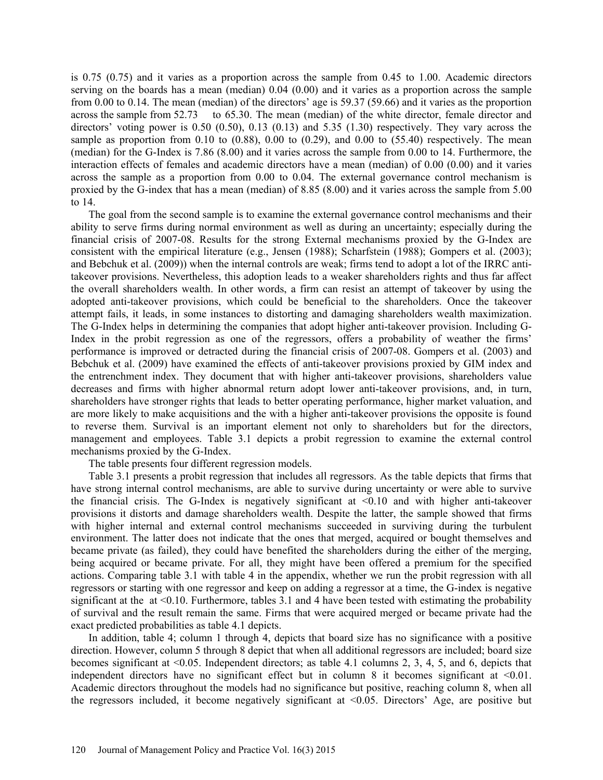is 0.75 (0.75) and it varies as a proportion across the sample from 0.45 to 1.00. Academic directors serving on the boards has a mean (median) 0.04 (0.00) and it varies as a proportion across the sample from 0.00 to 0.14. The mean (median) of the directors' age is 59.37 (59.66) and it varies as the proportion across the sample from 52.73 to 65.30. The mean (median) of the white director, female director and directors' voting power is  $0.50$   $(0.50)$ ,  $0.13$   $(0.13)$  and  $5.35$   $(1.30)$  respectively. They vary across the sample as proportion from 0.10 to  $(0.88)$ , 0.00 to  $(0.29)$ , and 0.00 to  $(55.40)$  respectively. The mean (median) for the G-Index is 7.86 (8.00) and it varies across the sample from 0.00 to 14. Furthermore, the interaction effects of females and academic directors have a mean (median) of 0.00 (0.00) and it varies across the sample as a proportion from 0.00 to 0.04. The external governance control mechanism is proxied by the G-index that has a mean (median) of 8.85 (8.00) and it varies across the sample from 5.00 to 14.

The goal from the second sample is to examine the external governance control mechanisms and their ability to serve firms during normal environment as well as during an uncertainty; especially during the financial crisis of 2007-08. Results for the strong External mechanisms proxied by the G-Index are consistent with the empirical literature (e.g., Jensen (1988); Scharfstein (1988); Gompers et al. (2003); and Bebchuk et al. (2009)) when the internal controls are weak; firms tend to adopt a lot of the IRRC antitakeover provisions. Nevertheless, this adoption leads to a weaker shareholders rights and thus far affect the overall shareholders wealth. In other words, a firm can resist an attempt of takeover by using the adopted anti-takeover provisions, which could be beneficial to the shareholders. Once the takeover attempt fails, it leads, in some instances to distorting and damaging shareholders wealth maximization. The G-Index helps in determining the companies that adopt higher anti-takeover provision. Including G-Index in the probit regression as one of the regressors, offers a probability of weather the firms' performance is improved or detracted during the financial crisis of 2007-08. Gompers et al. (2003) and Bebchuk et al. (2009) have examined the effects of anti-takeover provisions proxied by GIM index and the entrenchment index. They document that with higher anti-takeover provisions, shareholders value decreases and firms with higher abnormal return adopt lower anti-takeover provisions, and, in turn, shareholders have stronger rights that leads to better operating performance, higher market valuation, and are more likely to make acquisitions and the with a higher anti-takeover provisions the opposite is found to reverse them. Survival is an important element not only to shareholders but for the directors, management and employees. Table 3.1 depicts a probit regression to examine the external control mechanisms proxied by the G-Index.

The table presents four different regression models.

Table 3.1 presents a probit regression that includes all regressors. As the table depicts that firms that have strong internal control mechanisms, are able to survive during uncertainty or were able to survive the financial crisis. The G-Index is negatively significant at  $\leq 0.10$  and with higher anti-takeover provisions it distorts and damage shareholders wealth. Despite the latter, the sample showed that firms with higher internal and external control mechanisms succeeded in surviving during the turbulent environment. The latter does not indicate that the ones that merged, acquired or bought themselves and became private (as failed), they could have benefited the shareholders during the either of the merging, being acquired or became private. For all, they might have been offered a premium for the specified actions. Comparing table 3.1 with table 4 in the appendix, whether we run the probit regression with all regressors or starting with one regressor and keep on adding a regressor at a time, the G-index is negative significant at the at <0.10. Furthermore, tables 3.1 and 4 have been tested with estimating the probability of survival and the result remain the same. Firms that were acquired merged or became private had the exact predicted probabilities as table 4.1 depicts.

In addition, table 4; column 1 through 4, depicts that board size has no significance with a positive direction. However, column 5 through 8 depict that when all additional regressors are included; board size becomes significant at <0.05. Independent directors; as table 4.1 columns 2, 3, 4, 5, and 6, depicts that independent directors have no significant effect but in column 8 it becomes significant at  $\leq 0.01$ . Academic directors throughout the models had no significance but positive, reaching column 8, when all the regressors included, it become negatively significant at <0.05. Directors' Age, are positive but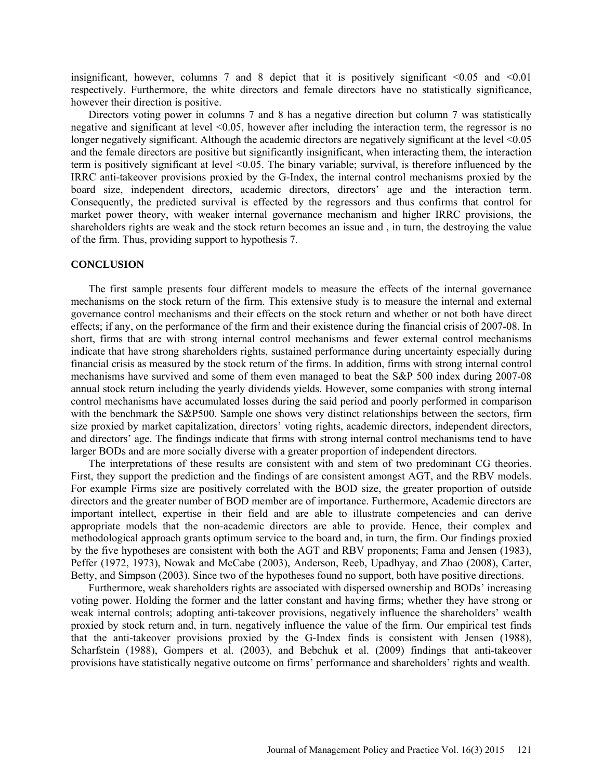insignificant, however, columns 7 and 8 depict that it is positively significant  $\leq 0.05$  and  $\leq 0.01$ respectively. Furthermore, the white directors and female directors have no statistically significance, however their direction is positive.

Directors voting power in columns 7 and 8 has a negative direction but column 7 was statistically negative and significant at level <0.05, however after including the interaction term, the regressor is no longer negatively significant. Although the academic directors are negatively significant at the level  $\leq 0.05$ and the female directors are positive but significantly insignificant, when interacting them, the interaction term is positively significant at level <0.05. The binary variable; survival, is therefore influenced by the IRRC anti-takeover provisions proxied by the G-Index, the internal control mechanisms proxied by the board size, independent directors, academic directors, directors' age and the interaction term. Consequently, the predicted survival is effected by the regressors and thus confirms that control for market power theory, with weaker internal governance mechanism and higher IRRC provisions, the shareholders rights are weak and the stock return becomes an issue and , in turn, the destroying the value of the firm. Thus, providing support to hypothesis 7.

#### **CONCLUSION**

The first sample presents four different models to measure the effects of the internal governance mechanisms on the stock return of the firm. This extensive study is to measure the internal and external governance control mechanisms and their effects on the stock return and whether or not both have direct effects; if any, on the performance of the firm and their existence during the financial crisis of 2007-08. In short, firms that are with strong internal control mechanisms and fewer external control mechanisms indicate that have strong shareholders rights, sustained performance during uncertainty especially during financial crisis as measured by the stock return of the firms. In addition, firms with strong internal control mechanisms have survived and some of them even managed to beat the S&P 500 index during 2007-08 annual stock return including the yearly dividends yields. However, some companies with strong internal control mechanisms have accumulated losses during the said period and poorly performed in comparison with the benchmark the S&P500. Sample one shows very distinct relationships between the sectors, firm size proxied by market capitalization, directors' voting rights, academic directors, independent directors, and directors' age. The findings indicate that firms with strong internal control mechanisms tend to have larger BODs and are more socially diverse with a greater proportion of independent directors.

The interpretations of these results are consistent with and stem of two predominant CG theories. First, they support the prediction and the findings of are consistent amongst AGT, and the RBV models. For example Firms size are positively correlated with the BOD size, the greater proportion of outside directors and the greater number of BOD member are of importance. Furthermore, Academic directors are important intellect, expertise in their field and are able to illustrate competencies and can derive appropriate models that the non-academic directors are able to provide. Hence, their complex and methodological approach grants optimum service to the board and, in turn, the firm. Our findings proxied by the five hypotheses are consistent with both the AGT and RBV proponents; Fama and Jensen (1983), Peffer (1972, 1973), Nowak and McCabe (2003), Anderson, Reeb, Upadhyay, and Zhao (2008), Carter, Betty, and Simpson (2003). Since two of the hypotheses found no support, both have positive directions.

Furthermore, weak shareholders rights are associated with dispersed ownership and BODs' increasing voting power. Holding the former and the latter constant and having firms; whether they have strong or weak internal controls; adopting anti-takeover provisions, negatively influence the shareholders' wealth proxied by stock return and, in turn, negatively influence the value of the firm. Our empirical test finds that the anti-takeover provisions proxied by the G-Index finds is consistent with Jensen (1988), Scharfstein (1988), Gompers et al. (2003), and Bebchuk et al. (2009) findings that anti-takeover provisions have statistically negative outcome on firms' performance and shareholders' rights and wealth.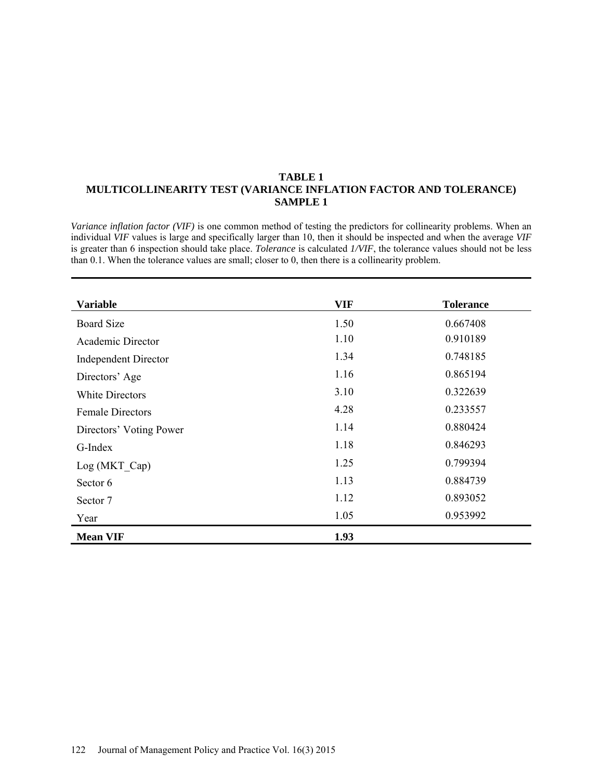### **TABLE 1 MULTICOLLINEARITY TEST (VARIANCE INFLATION FACTOR AND TOLERANCE) SAMPLE 1**

*Variance inflation factor (VIF)* is one common method of testing the predictors for collinearity problems. When an individual *VIF* values is large and specifically larger than 10, then it should be inspected and when the average *VIF* is greater than 6 inspection should take place. *Tolerance* is calculated *1/VIF*, the tolerance values should not be less than 0.1. When the tolerance values are small; closer to 0, then there is a collinearity problem.

| <b>Variable</b>             | <b>VIF</b> | <b>Tolerance</b> |
|-----------------------------|------------|------------------|
| <b>Board Size</b>           | 1.50       | 0.667408         |
| Academic Director           | 1.10       | 0.910189         |
| <b>Independent Director</b> | 1.34       | 0.748185         |
| Directors' Age              | 1.16       | 0.865194         |
| White Directors             | 3.10       | 0.322639         |
| <b>Female Directors</b>     | 4.28       | 0.233557         |
| Directors' Voting Power     | 1.14       | 0.880424         |
| G-Index                     | 1.18       | 0.846293         |
| Log (MKT Cap)               | 1.25       | 0.799394         |
| Sector 6                    | 1.13       | 0.884739         |
| Sector 7                    | 1.12       | 0.893052         |
| Year                        | 1.05       | 0.953992         |
| <b>Mean VIF</b>             | 1.93       |                  |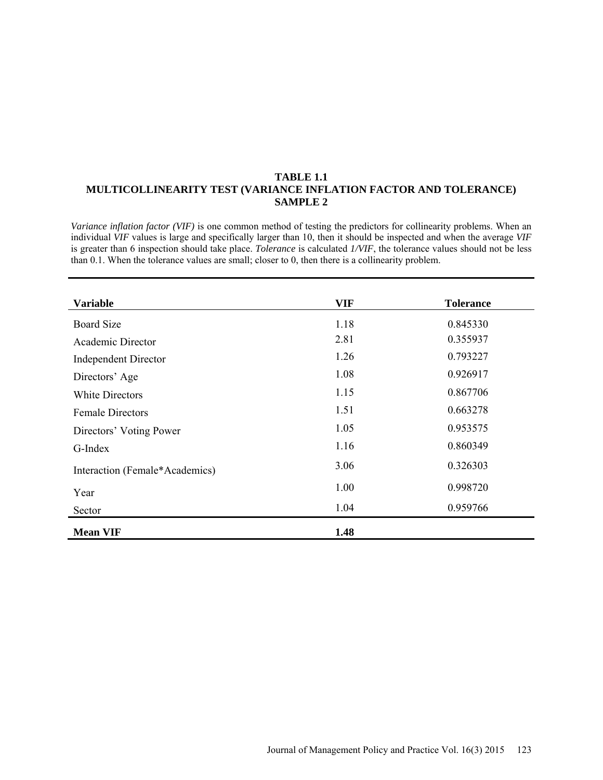### **TABLE 1.1 MULTICOLLINEARITY TEST (VARIANCE INFLATION FACTOR AND TOLERANCE) SAMPLE 2**

*Variance inflation factor (VIF)* is one common method of testing the predictors for collinearity problems. When an individual *VIF* values is large and specifically larger than 10, then it should be inspected and when the average *VIF* is greater than 6 inspection should take place. *Tolerance* is calculated *1/VIF*, the tolerance values should not be less than 0.1. When the tolerance values are small; closer to 0, then there is a collinearity problem.

| <b>Variable</b>                | <b>VIF</b> | <b>Tolerance</b> |
|--------------------------------|------------|------------------|
| <b>Board Size</b>              | 1.18       | 0.845330         |
| Academic Director              | 2.81       | 0.355937         |
| <b>Independent Director</b>    | 1.26       | 0.793227         |
| Directors' Age                 | 1.08       | 0.926917         |
| <b>White Directors</b>         | 1.15       | 0.867706         |
| <b>Female Directors</b>        | 1.51       | 0.663278         |
| Directors' Voting Power        | 1.05       | 0.953575         |
| G-Index                        | 1.16       | 0.860349         |
| Interaction (Female*Academics) | 3.06       | 0.326303         |
| Year                           | 1.00       | 0.998720         |
| Sector                         | 1.04       | 0.959766         |
| <b>Mean VIF</b>                | 1.48       |                  |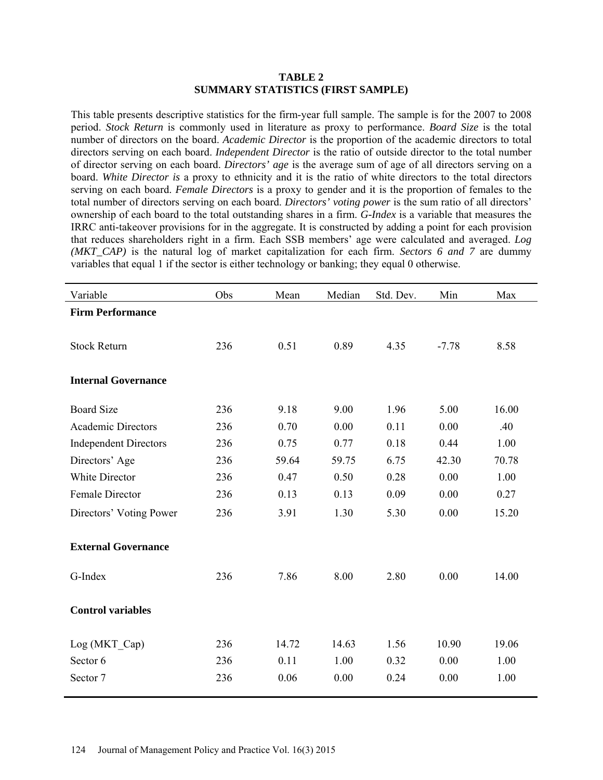### **TABLE 2 SUMMARY STATISTICS (FIRST SAMPLE)**

This table presents descriptive statistics for the firm-year full sample. The sample is for the 2007 to 2008 period. *Stock Return* is commonly used in literature as proxy to performance. *Board Size* is the total number of directors on the board. *Academic Director* is the proportion of the academic directors to total directors serving on each board. *Independent Director* is the ratio of outside director to the total number of director serving on each board. *Directors' age* is the average sum of age of all directors serving on a board. *White Director is* a proxy to ethnicity and it is the ratio of white directors to the total directors serving on each board. *Female Directors* is a proxy to gender and it is the proportion of females to the total number of directors serving on each board. *Directors' voting power* is the sum ratio of all directors' ownership of each board to the total outstanding shares in a firm. *G-Index* is a variable that measures the IRRC anti-takeover provisions for in the aggregate. It is constructed by adding a point for each provision that reduces shareholders right in a firm. Each SSB members' age were calculated and averaged. *Log (MKT\_CAP)* is the natural log of market capitalization for each firm. *Sectors 6 and 7* are dummy variables that equal 1 if the sector is either technology or banking; they equal 0 otherwise.

| Variable                     | Obs | Mean  | Median | Std. Dev. | Min     | Max   |
|------------------------------|-----|-------|--------|-----------|---------|-------|
| <b>Firm Performance</b>      |     |       |        |           |         |       |
|                              |     |       |        |           |         |       |
| <b>Stock Return</b>          | 236 | 0.51  | 0.89   | 4.35      | $-7.78$ | 8.58  |
|                              |     |       |        |           |         |       |
| <b>Internal Governance</b>   |     |       |        |           |         |       |
| <b>Board Size</b>            | 236 | 9.18  | 9.00   | 1.96      | 5.00    | 16.00 |
| <b>Academic Directors</b>    | 236 | 0.70  | 0.00   | 0.11      | 0.00    | .40   |
| <b>Independent Directors</b> | 236 | 0.75  | 0.77   | 0.18      | 0.44    | 1.00  |
| Directors' Age               | 236 | 59.64 | 59.75  | 6.75      | 42.30   | 70.78 |
| White Director               | 236 | 0.47  | 0.50   | 0.28      | 0.00    | 1.00  |
| Female Director              | 236 | 0.13  | 0.13   | 0.09      | 0.00    | 0.27  |
| Directors' Voting Power      | 236 | 3.91  | 1.30   | 5.30      | 0.00    | 15.20 |
| <b>External Governance</b>   |     |       |        |           |         |       |
| G-Index                      | 236 | 7.86  | 8.00   | 2.80      | 0.00    | 14.00 |
| <b>Control variables</b>     |     |       |        |           |         |       |
| Log (MKT_Cap)                | 236 | 14.72 | 14.63  | 1.56      | 10.90   | 19.06 |
| Sector 6                     | 236 | 0.11  | 1.00   | 0.32      | 0.00    | 1.00  |
| Sector 7                     | 236 | 0.06  | 0.00   | 0.24      | 0.00    | 1.00  |
|                              |     |       |        |           |         |       |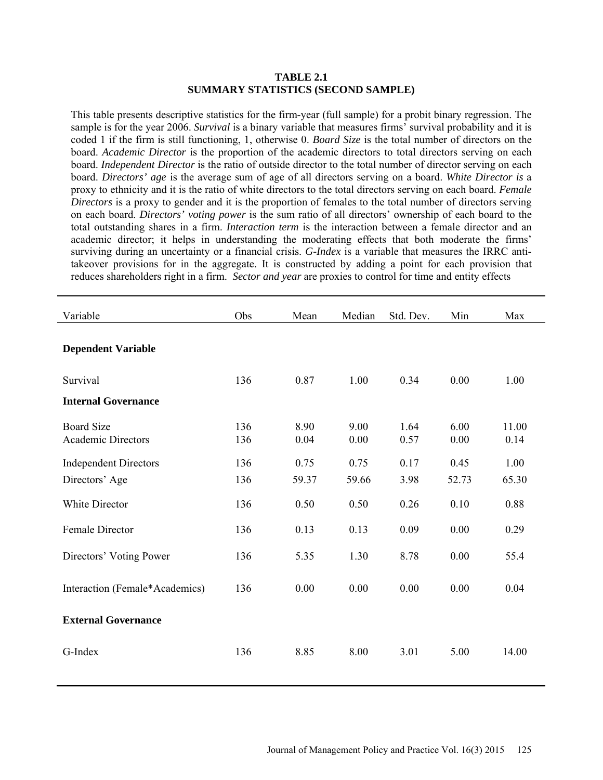### **TABLE 2.1 SUMMARY STATISTICS (SECOND SAMPLE)**

This table presents descriptive statistics for the firm-year (full sample) for a probit binary regression. The sample is for the year 2006. *Survival* is a binary variable that measures firms' survival probability and it is coded 1 if the firm is still functioning, 1, otherwise 0. *Board Size* is the total number of directors on the board. *Academic Director* is the proportion of the academic directors to total directors serving on each board. *Independent Director* is the ratio of outside director to the total number of director serving on each board. *Directors' age* is the average sum of age of all directors serving on a board. *White Director is* a proxy to ethnicity and it is the ratio of white directors to the total directors serving on each board. *Female Directors* is a proxy to gender and it is the proportion of females to the total number of directors serving on each board. *Directors' voting power* is the sum ratio of all directors' ownership of each board to the total outstanding shares in a firm. *Interaction term* is the interaction between a female director and an academic director; it helps in understanding the moderating effects that both moderate the firms' surviving during an uncertainty or a financial crisis. *G-Index* is a variable that measures the IRRC antitakeover provisions for in the aggregate. It is constructed by adding a point for each provision that reduces shareholders right in a firm. *Sector and year* are proxies to control for time and entity effects

| Variable                                       | Obs        | Mean         | Median       | Std. Dev.    | Min          | Max           |
|------------------------------------------------|------------|--------------|--------------|--------------|--------------|---------------|
| <b>Dependent Variable</b>                      |            |              |              |              |              |               |
| Survival                                       | 136        | 0.87         | 1.00         | 0.34         | 0.00         | 1.00          |
| <b>Internal Governance</b>                     |            |              |              |              |              |               |
| <b>Board Size</b><br><b>Academic Directors</b> | 136<br>136 | 8.90<br>0.04 | 9.00<br>0.00 | 1.64<br>0.57 | 6.00<br>0.00 | 11.00<br>0.14 |
| <b>Independent Directors</b>                   | 136        | 0.75         | 0.75         | 0.17         | 0.45         | 1.00          |
| Directors' Age                                 | 136        | 59.37        | 59.66        | 3.98         | 52.73        | 65.30         |
| White Director                                 | 136        | 0.50         | 0.50         | 0.26         | 0.10         | 0.88          |
| Female Director                                | 136        | 0.13         | 0.13         | 0.09         | 0.00         | 0.29          |
| Directors' Voting Power                        | 136        | 5.35         | 1.30         | 8.78         | 0.00         | 55.4          |
| Interaction (Female*Academics)                 | 136        | 0.00         | 0.00         | 0.00         | 0.00         | 0.04          |
| <b>External Governance</b>                     |            |              |              |              |              |               |
| G-Index                                        | 136        | 8.85         | 8.00         | 3.01         | 5.00         | 14.00         |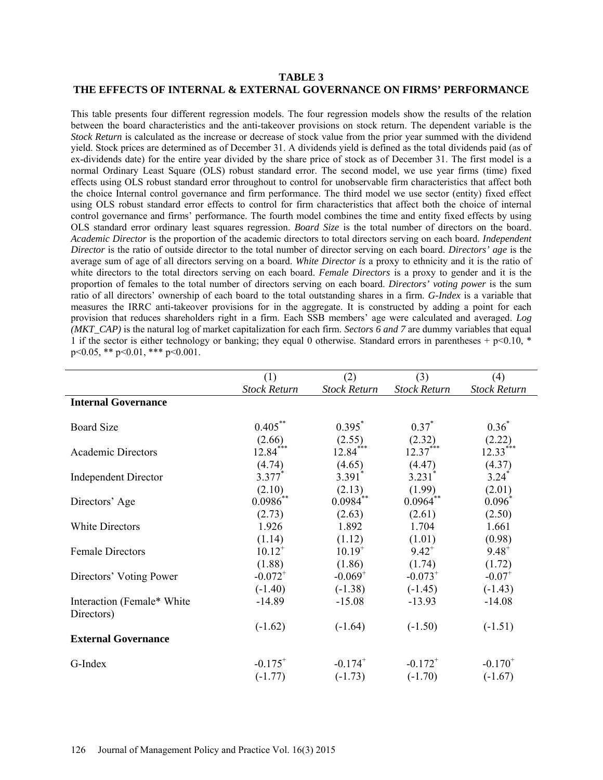## **TABLE 3 THE EFFECTS OF INTERNAL & EXTERNAL GOVERNANCE ON FIRMS' PERFORMANCE**

This table presents four different regression models. The four regression models show the results of the relation between the board characteristics and the anti-takeover provisions on stock return. The dependent variable is the *Stock Return* is calculated as the increase or decrease of stock value from the prior year summed with the dividend yield. Stock prices are determined as of December 31. A dividends yield is defined as the total dividends paid (as of ex-dividends date) for the entire year divided by the share price of stock as of December 31. The first model is a normal Ordinary Least Square (OLS) robust standard error. The second model, we use year firms (time) fixed effects using OLS robust standard error throughout to control for unobservable firm characteristics that affect both the choice Internal control governance and firm performance. The third model we use sector (entity) fixed effect using OLS robust standard error effects to control for firm characteristics that affect both the choice of internal control governance and firms' performance. The fourth model combines the time and entity fixed effects by using OLS standard error ordinary least squares regression. *Board Size* is the total number of directors on the board. *Academic Director* is the proportion of the academic directors to total directors serving on each board. *Independent Director* is the ratio of outside director to the total number of director serving on each board. *Directors' age* is the average sum of age of all directors serving on a board. *White Director is* a proxy to ethnicity and it is the ratio of white directors to the total directors serving on each board. *Female Directors* is a proxy to gender and it is the proportion of females to the total number of directors serving on each board. *Directors' voting power* is the sum ratio of all directors' ownership of each board to the total outstanding shares in a firm. *G-Index* is a variable that measures the IRRC anti-takeover provisions for in the aggregate. It is constructed by adding a point for each provision that reduces shareholders right in a firm. Each SSB members' age were calculated and averaged. *Log (MKT\_CAP)* is the natural log of market capitalization for each firm. *Sectors 6 and 7* are dummy variables that equal 1 if the sector is either technology or banking; they equal 0 otherwise. Standard errors in parentheses + p<0.10,  $*$ p<0.05, \*\* p<0.01, \*\*\* p<0.001.

|                             | (1)                 | (2)                  | (3)                  | (4)                  |
|-----------------------------|---------------------|----------------------|----------------------|----------------------|
|                             | <b>Stock Return</b> | <b>Stock Return</b>  | <b>Stock Return</b>  | <b>Stock Return</b>  |
| <b>Internal Governance</b>  |                     |                      |                      |                      |
|                             |                     |                      |                      |                      |
| <b>Board Size</b>           | $0.405***$          | $0.395^*$            | $0.37^*$             | $0.36*$              |
|                             | (2.66)              | $(2.55)$<br>12.84*** | $(2.32)$<br>12.37*** | $(2.22)$<br>12.33*** |
| <b>Academic Directors</b>   | $12.84***$          |                      |                      |                      |
|                             | (4.74)              | (4.65)               | (4.47)               | (4.37)               |
| <b>Independent Director</b> | $3.377*$            | $3.391$ *            | $3.231$ <sup>*</sup> | $3.24$ <sup>*</sup>  |
|                             | (2.10)              | (2.13)               | (1.99)               | (2.01)               |
| Directors' Age              | $0.0986^{**}$       | $0.0984^{**}$        | $0.0964^{**}$        | $0.096*$             |
|                             | (2.73)              | (2.63)               | (2.61)               | (2.50)               |
| <b>White Directors</b>      | 1.926               | 1.892                | 1.704                | 1.661                |
|                             | (1.14)              | (1.12)               | (1.01)               | (0.98)               |
| <b>Female Directors</b>     | $10.12^{+}$         | $10.19^{+}$          | $9.42^{+}$           | $9.48^{+}$           |
|                             | (1.88)              | (1.86)               | (1.74)               | (1.72)               |
| Directors' Voting Power     | $-0.072^{+}$        | $-0.069^{+}$         | $-0.073^{+}$         | $-0.07$ <sup>+</sup> |
|                             | $(-1.40)$           | $(-1.38)$            | $(-1.45)$            | $(-1.43)$            |
| Interaction (Female* White  | $-14.89$            | $-15.08$             | $-13.93$             | $-14.08$             |
| Directors)                  |                     |                      |                      |                      |
|                             | $(-1.62)$           | $(-1.64)$            | $(-1.50)$            | $(-1.51)$            |
| <b>External Governance</b>  |                     |                      |                      |                      |
| G-Index                     | $-0.175^{+}$        | $-0.174^{+}$         | $-0.172^{+}$         | $-0.170^{+}$         |
|                             | $(-1.77)$           | $(-1.73)$            | $(-1.70)$            | $(-1.67)$            |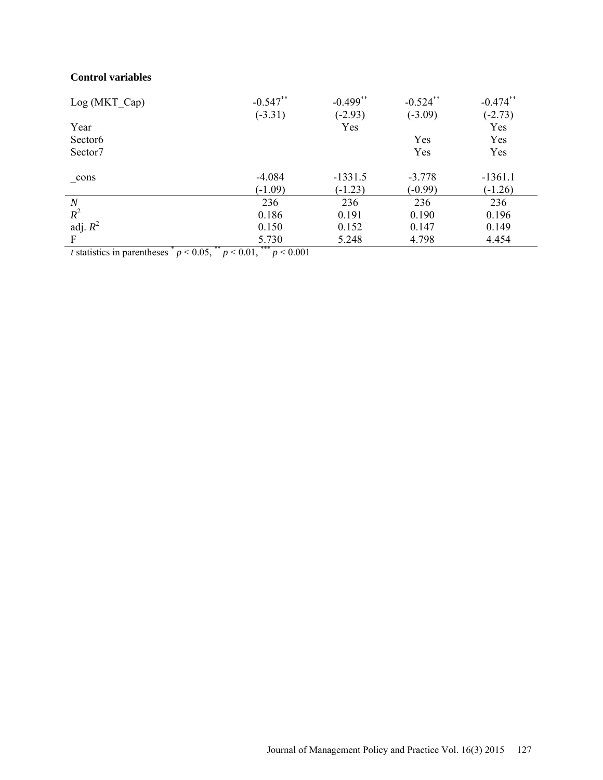# **Control variables**

| Log (MKT Cap)       | $-0.547**$ | $-0.499$ ** | $-0.524$ ** | $-0.474$ ** |
|---------------------|------------|-------------|-------------|-------------|
|                     | $(-3.31)$  | $(-2.93)$   | $(-3.09)$   | $(-2.73)$   |
| Year                |            | Yes         |             | Yes         |
| Sector <sub>6</sub> |            |             | Yes         | Yes         |
| Sector7             |            |             | Yes         | Yes         |
| _cons               | $-4.084$   | $-1331.5$   | $-3.778$    | $-1361.1$   |
|                     | $(-1.09)$  | $(-1.23)$   | $(-0.99)$   | $(-1.26)$   |
| $\boldsymbol{N}$    | 236        | 236         | 236         | 236         |
| $R^2$               | 0.186      | 0.191       | 0.190       | 0.196       |
| adj. $R^2$          | 0.150      | 0.152       | 0.147       | 0.149       |
| $\mathbf F$         | 5.730      | 5.248       | 4.798       | 4.454       |

*t* statistics in parentheses  $p < 0.05$ ,  $p < 0.01$ ,  $p < 0.001$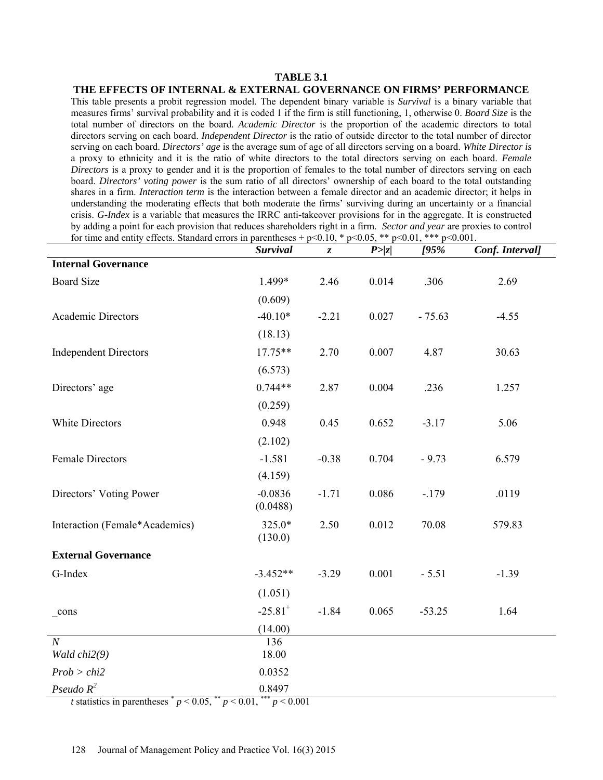### **TABLE 3.1 THE EFFECTS OF INTERNAL & EXTERNAL GOVERNANCE ON FIRMS' PERFORMANCE**

This table presents a probit regression model. The dependent binary variable is *Survival* is a binary variable that measures firms' survival probability and it is coded 1 if the firm is still functioning, 1, otherwise 0. *Board Size* is the total number of directors on the board. *Academic Director* is the proportion of the academic directors to total directors serving on each board. *Independent Director* is the ratio of outside director to the total number of director serving on each board. *Directors' age* is the average sum of age of all directors serving on a board. *White Director is* a proxy to ethnicity and it is the ratio of white directors to the total directors serving on each board. *Female Directors* is a proxy to gender and it is the proportion of females to the total number of directors serving on each board. *Directors' voting power* is the sum ratio of all directors' ownership of each board to the total outstanding shares in a firm. *Interaction term* is the interaction between a female director and an academic director; it helps in understanding the moderating effects that both moderate the firms' surviving during an uncertainty or a financial crisis. *G-Index* is a variable that measures the IRRC anti-takeover provisions for in the aggregate. It is constructed by adding a point for each provision that reduces shareholders right in a firm. *Sector and year* are proxies to control for time and entity effects. Standard errors in parentheses + p<0.10, \* p<0.05, \*\* p<0.01, \*\*\* p<0.001.

|                                                              | Survival                                                                                                                                                                                                                                                                                                            | $\boldsymbol{z}$ | P >  z | 195%     | Conf. Interval] |
|--------------------------------------------------------------|---------------------------------------------------------------------------------------------------------------------------------------------------------------------------------------------------------------------------------------------------------------------------------------------------------------------|------------------|--------|----------|-----------------|
| <b>Internal Governance</b>                                   |                                                                                                                                                                                                                                                                                                                     |                  |        |          |                 |
| <b>Board Size</b>                                            | 1.499*                                                                                                                                                                                                                                                                                                              | 2.46             | 0.014  | .306     | 2.69            |
|                                                              | (0.609)                                                                                                                                                                                                                                                                                                             |                  |        |          |                 |
| <b>Academic Directors</b>                                    | $-40.10*$                                                                                                                                                                                                                                                                                                           | $-2.21$          | 0.027  | $-75.63$ | $-4.55$         |
|                                                              | (18.13)                                                                                                                                                                                                                                                                                                             |                  |        |          |                 |
| <b>Independent Directors</b>                                 | $17.75**$                                                                                                                                                                                                                                                                                                           | 2.70             | 0.007  | 4.87     | 30.63           |
|                                                              | (6.573)                                                                                                                                                                                                                                                                                                             |                  |        |          |                 |
| Directors' age                                               | $0.744**$                                                                                                                                                                                                                                                                                                           | 2.87             | 0.004  | .236     | 1.257           |
|                                                              | (0.259)                                                                                                                                                                                                                                                                                                             |                  |        |          |                 |
| White Directors                                              | 0.948                                                                                                                                                                                                                                                                                                               | 0.45             | 0.652  | $-3.17$  | 5.06            |
|                                                              | (2.102)                                                                                                                                                                                                                                                                                                             |                  |        |          |                 |
| Female Directors                                             | $-1.581$                                                                                                                                                                                                                                                                                                            | $-0.38$          | 0.704  | $-9.73$  | 6.579           |
|                                                              | (4.159)                                                                                                                                                                                                                                                                                                             |                  |        |          |                 |
| Directors' Voting Power                                      | $-0.0836$<br>(0.0488)                                                                                                                                                                                                                                                                                               | $-1.71$          | 0.086  | $-.179$  | .0119           |
| Interaction (Female*Academics)                               | 325.0*<br>(130.0)                                                                                                                                                                                                                                                                                                   | 2.50             | 0.012  | 70.08    | 579.83          |
| <b>External Governance</b>                                   |                                                                                                                                                                                                                                                                                                                     |                  |        |          |                 |
| G-Index                                                      | $-3.452**$                                                                                                                                                                                                                                                                                                          | $-3.29$          | 0.001  | $-5.51$  | $-1.39$         |
|                                                              | (1.051)                                                                                                                                                                                                                                                                                                             |                  |        |          |                 |
| cons                                                         | $-25.81$ <sup>+</sup>                                                                                                                                                                                                                                                                                               | $-1.84$          | 0.065  | $-53.25$ | 1.64            |
|                                                              | (14.00)                                                                                                                                                                                                                                                                                                             |                  |        |          |                 |
| $\overline{N}$                                               | 136<br>18.00                                                                                                                                                                                                                                                                                                        |                  |        |          |                 |
| Wald chi2(9)                                                 |                                                                                                                                                                                                                                                                                                                     |                  |        |          |                 |
| Prob > chi2<br>Pseudo $R^2$                                  | 0.0352<br>0.8497                                                                                                                                                                                                                                                                                                    |                  |        |          |                 |
| <i>t</i> statistics in parentheses $p < 0.05$ , $p < 0.01$ , | $\frac{1}{2}$ $\frac{1}{2}$ $\frac{1}{2}$ $\frac{1}{2}$ $\frac{1}{2}$ $\frac{1}{2}$ $\frac{1}{2}$ $\frac{1}{2}$ $\frac{1}{2}$ $\frac{1}{2}$ $\frac{1}{2}$ $\frac{1}{2}$ $\frac{1}{2}$ $\frac{1}{2}$ $\frac{1}{2}$ $\frac{1}{2}$ $\frac{1}{2}$ $\frac{1}{2}$ $\frac{1}{2}$ $\frac{1}{2}$ $\frac{1}{2}$ $\frac{1}{2}$ |                  |        |          |                 |

*t* statistics in parentheses  $p < 0.05$ ,  $p < 0.01$ ,  $p < 0.001$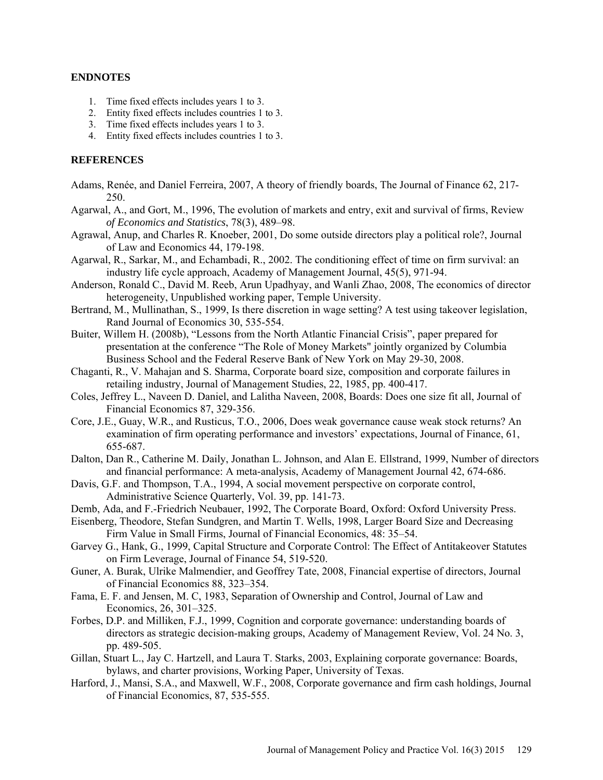### **ENDNOTES**

- 1. Time fixed effects includes years 1 to 3.
- 2. Entity fixed effects includes countries 1 to 3.
- 3. Time fixed effects includes years 1 to 3.
- 4. Entity fixed effects includes countries 1 to 3.

## **REFERENCES**

- Adams, Renée, and Daniel Ferreira, 2007, A theory of friendly boards, The Journal of Finance 62, 217- 250.
- Agarwal, A., and Gort, M., 1996, The evolution of markets and entry, exit and survival of firms, Review *of Economics and Statistics*, 78(3), 489–98.
- Agrawal, Anup, and Charles R. Knoeber, 2001, Do some outside directors play a political role?, Journal of Law and Economics 44, 179-198.
- Agarwal, R., Sarkar, M., and Echambadi, R., 2002. The conditioning effect of time on firm survival: an industry life cycle approach, Academy of Management Journal, 45(5), 971-94.
- Anderson, Ronald C., David M. Reeb, Arun Upadhyay, and Wanli Zhao, 2008, The economics of director heterogeneity, Unpublished working paper, Temple University.
- Bertrand, M., Mullinathan, S., 1999, Is there discretion in wage setting? A test using takeover legislation, Rand Journal of Economics 30, 535-554.
- Buiter, Willem H. (2008b), "Lessons from the North Atlantic Financial Crisis", paper prepared for presentation at the conference "The Role of Money Markets" jointly organized by Columbia Business School and the Federal Reserve Bank of New York on May 29-30, 2008.
- Chaganti, R., V. Mahajan and S. Sharma, Corporate board size, composition and corporate failures in retailing industry, Journal of Management Studies, 22, 1985, pp. 400-417.
- Coles, Jeffrey L., Naveen D. Daniel, and Lalitha Naveen, 2008, Boards: Does one size fit all, Journal of Financial Economics 87, 329-356.
- Core, J.E., Guay, W.R., and Rusticus, T.O., 2006, Does weak governance cause weak stock returns? An examination of firm operating performance and investors' expectations, Journal of Finance, 61, 655-687.
- Dalton, Dan R., Catherine M. Daily, Jonathan L. Johnson, and Alan E. Ellstrand, 1999, Number of directors and financial performance: A meta-analysis, Academy of Management Journal 42, 674-686.
- Davis, G.F. and Thompson, T.A., 1994, A social movement perspective on corporate control, Administrative Science Quarterly, Vol. 39, pp. 141-73.
- Demb, Ada, and F.-Friedrich Neubauer, 1992, The Corporate Board, Oxford: Oxford University Press.
- Eisenberg, Theodore, Stefan Sundgren, and Martin T. Wells, 1998, Larger Board Size and Decreasing Firm Value in Small Firms, Journal of Financial Economics, 48: 35–54.
- Garvey G., Hank, G., 1999, Capital Structure and Corporate Control: The Effect of Antitakeover Statutes on Firm Leverage, Journal of Finance 54, 519-520.
- Guner, A. Burak, Ulrike Malmendier, and Geoffrey Tate, 2008, Financial expertise of directors, Journal of Financial Economics 88, 323–354.
- Fama, E. F. and Jensen, M. C, 1983, Separation of Ownership and Control, Journal of Law and Economics, 26, 301–325.
- Forbes, D.P. and Milliken, F.J., 1999, Cognition and corporate governance: understanding boards of directors as strategic decision-making groups, Academy of Management Review, Vol. 24 No. 3, pp. 489-505.
- Gillan, Stuart L., Jay C. Hartzell, and Laura T. Starks, 2003, Explaining corporate governance: Boards, bylaws, and charter provisions, Working Paper, University of Texas.
- Harford, J., Mansi, S.A., and Maxwell, W.F., 2008, Corporate governance and firm cash holdings, Journal of Financial Economics, 87, 535-555.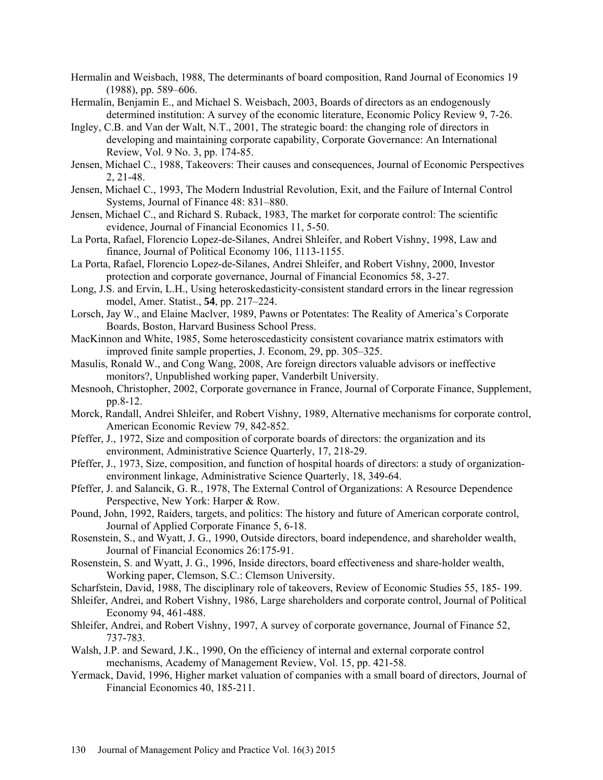- Hermalin and Weisbach, 1988, The determinants of board composition, Rand Journal of Economics 19 (1988), pp. 589–606.
- Hermalin, Benjamin E., and Michael S. Weisbach, 2003, Boards of directors as an endogenously determined institution: A survey of the economic literature, Economic Policy Review 9, 7-26.
- Ingley, C.B. and Van der Walt, N.T., 2001, The strategic board: the changing role of directors in developing and maintaining corporate capability, Corporate Governance: An International Review, Vol. 9 No. 3, pp. 174-85.
- Jensen, Michael C., 1988, Takeovers: Their causes and consequences, Journal of Economic Perspectives 2, 21-48.
- Jensen, Michael C., 1993, The Modern Industrial Revolution, Exit, and the Failure of Internal Control Systems, Journal of Finance 48: 831–880.
- Jensen, Michael C., and Richard S. Ruback, 1983, The market for corporate control: The scientific evidence, Journal of Financial Economics 11, 5-50.
- La Porta, Rafael, Florencio Lopez-de-Silanes, Andrei Shleifer, and Robert Vishny, 1998, Law and finance, Journal of Political Economy 106, 1113-1155.
- La Porta, Rafael, Florencio Lopez-de-Silanes, Andrei Shleifer, and Robert Vishny, 2000, Investor protection and corporate governance, Journal of Financial Economics 58, 3-27.
- Long, J.S. and Ervin, L.H., Using heteroskedasticity-consistent standard errors in the linear regression model, Amer. Statist., **54**, pp. 217–224.
- Lorsch, Jay W., and Elaine Maclver, 1989, Pawns or Potentates: The Reality of America's Corporate Boards, Boston, Harvard Business School Press.
- MacKinnon and White, 1985, Some heteroscedasticity consistent covariance matrix estimators with improved finite sample properties, J. Econom, 29, pp. 305–325.
- Masulis, Ronald W., and Cong Wang, 2008, Are foreign directors valuable advisors or ineffective monitors?, Unpublished working paper, Vanderbilt University.
- Mesnooh, Christopher, 2002, Corporate governance in France, Journal of Corporate Finance, Supplement, pp.8-12.
- Morck, Randall, Andrei Shleifer, and Robert Vishny, 1989, Alternative mechanisms for corporate control, American Economic Review 79, 842-852.
- Pfeffer, J., 1972, Size and composition of corporate boards of directors: the organization and its environment, Administrative Science Quarterly, 17, 218-29.
- Pfeffer, J., 1973, Size, composition, and function of hospital hoards of directors: a study of organizationenvironment linkage, Administrative Science Quarterly, 18, 349-64.
- Pfeffer, J. and Salancik, G. R., 1978, The External Control of Organizations: A Resource Dependence Perspective, New York: Harper & Row.
- Pound, John, 1992, Raiders, targets, and politics: The history and future of American corporate control, Journal of Applied Corporate Finance 5, 6-18.
- Rosenstein, S., and Wyatt, J. G., 1990, Outside directors, board independence, and shareholder wealth, Journal of Financial Economics 26:175-91.
- Rosenstein, S. and Wyatt, J. G., 1996, Inside directors, board effectiveness and share-holder wealth, Working paper, Clemson, S.C.: Clemson University.
- Scharfstein, David, 1988, The disciplinary role of takeovers, Review of Economic Studies 55, 185- 199.
- Shleifer, Andrei, and Robert Vishny, 1986, Large shareholders and corporate control, Journal of Political Economy 94, 461-488.
- Shleifer, Andrei, and Robert Vishny, 1997, A survey of corporate governance, Journal of Finance 52, 737-783.
- Walsh, J.P. and Seward, J.K., 1990, On the efficiency of internal and external corporate control mechanisms, Academy of Management Review, Vol. 15, pp. 421-58.
- Yermack, David, 1996, Higher market valuation of companies with a small board of directors, Journal of Financial Economics 40, 185-211.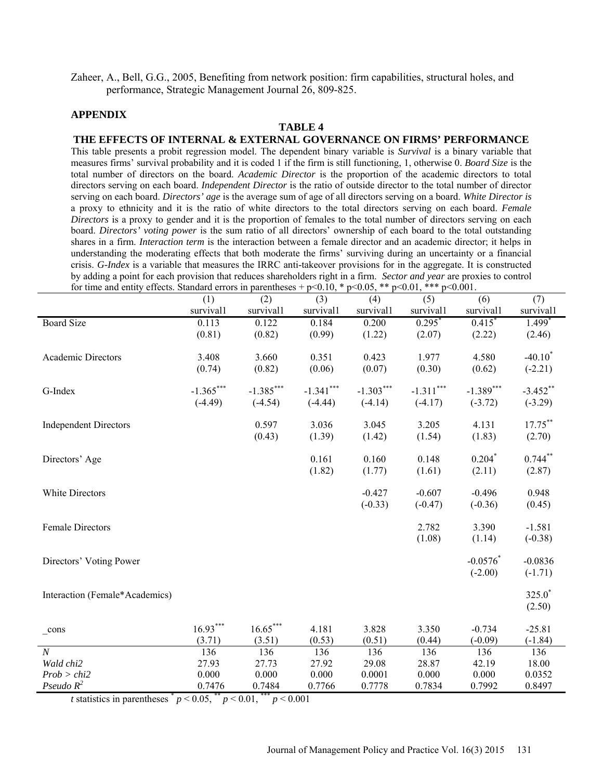Zaheer, A., Bell, G.G., 2005, Benefiting from network position: firm capabilities, structural holes, and performance, Strategic Management Journal 26, 809-825.

### **APPENDIX**

#### **TABLE 4**

**THE EFFECTS OF INTERNAL & EXTERNAL GOVERNANCE ON FIRMS' PERFORMANCE** This table presents a probit regression model. The dependent binary variable is *Survival* is a binary variable that measures firms' survival probability and it is coded 1 if the firm is still functioning, 1, otherwise 0. *Board Size* is the total number of directors on the board. *Academic Director* is the proportion of the academic directors to total directors serving on each board. *Independent Director* is the ratio of outside director to the total number of director serving on each board. *Directors' age* is the average sum of age of all directors serving on a board. *White Director is* a proxy to ethnicity and it is the ratio of white directors to the total directors serving on each board. *Female Directors* is a proxy to gender and it is the proportion of females to the total number of directors serving on each board. *Directors' voting power* is the sum ratio of all directors' ownership of each board to the total outstanding shares in a firm. *Interaction term* is the interaction between a female director and an academic director; it helps in understanding the moderating effects that both moderate the firms' surviving during an uncertainty or a financial crisis. *G-Index* is a variable that measures the IRRC anti-takeover provisions for in the aggregate. It is constructed by adding a point for each provision that reduces shareholders right in a firm. *Sector and year* are proxies to control for time and entity effects. Standard errors in parentheses + p<0.10, \* p<0.05, \*\* p<0.01, \*\*\* p<0.001.

|                                | (1)         | (2)             | (3)             | (4)             | (5)             | (6)             | (7)                  |
|--------------------------------|-------------|-----------------|-----------------|-----------------|-----------------|-----------------|----------------------|
|                                | survival1   | survival1       | survival1       | survival1       | survival1       | survivall       | survival1            |
| <b>Board Size</b>              | 0.113       | 0.122           | 0.184           | 0.200           | $0.295*$        | 0.415           | $1.499*$             |
|                                | (0.81)      | (0.82)          | (0.99)          | (1.22)          | (2.07)          | (2.22)          | (2.46)               |
| Academic Directors             | 3.408       | 3.660           | 0.351           | 0.423           | 1.977           | 4.580           | $-40.10^*$           |
|                                | (0.74)      | (0.82)          | (0.06)          | (0.07)          | (0.30)          | (0.62)          | $(-2.21)$            |
| G-Index                        | $-1.365***$ | $-1.385***$     | $-1.341***$     | $-1.303***$     | $-1.311***$     | $-1.389***$     | $-3.452$ **          |
|                                | $(-4.49)$   | $(-4.54)$       | $(-4.44)$       | $(-4.14)$       | $(-4.17)$       | $(-3.72)$       | $(-3.29)$            |
|                                |             |                 |                 |                 |                 |                 |                      |
| <b>Independent Directors</b>   |             | 0.597<br>(0.43) | 3.036<br>(1.39) | 3.045<br>(1.42) | 3.205<br>(1.54) | 4.131<br>(1.83) | $17.75***$<br>(2.70) |
|                                |             |                 |                 |                 |                 |                 |                      |
| Directors' Age                 |             |                 | 0.161           | 0.160           | 0.148           | $0.204*$        | $0.744***$           |
|                                |             |                 | (1.82)          | (1.77)          | (1.61)          | (2.11)          | (2.87)               |
| White Directors                |             |                 |                 | $-0.427$        | $-0.607$        | $-0.496$        | 0.948                |
|                                |             |                 |                 | $(-0.33)$       | $(-0.47)$       | $(-0.36)$       | (0.45)               |
| <b>Female Directors</b>        |             |                 |                 |                 | 2.782           | 3.390           | $-1.581$             |
|                                |             |                 |                 |                 | (1.08)          | (1.14)          | $(-0.38)$            |
|                                |             |                 |                 |                 |                 |                 |                      |
| Directors' Voting Power        |             |                 |                 |                 |                 | $-0.0576$ *     | $-0.0836$            |
|                                |             |                 |                 |                 |                 | $(-2.00)$       | $(-1.71)$            |
| Interaction (Female*Academics) |             |                 |                 |                 |                 |                 | $325.0*$             |
|                                |             |                 |                 |                 |                 |                 | (2.50)               |
| $_{\rm cons}$                  | $16.93***$  | $16.65***$      | 4.181           | 3.828           | 3.350           | $-0.734$        | $-25.81$             |
|                                | (3.71)      | (3.51)          | (0.53)          | (0.51)          | (0.44)          | $(-0.09)$       | $(-1.84)$            |
| $\overline{N}$                 | 136         | 136             | 136             | 136             | 136             | 136             | 136                  |
| Wald chi2                      | 27.93       | 27.73           | 27.92           | 29.08           | 28.87           | 42.19           | 18.00                |
| Prob > chi2                    | 0.000       | 0.000           | 0.000           | 0.0001          | 0.000           | 0.000           | 0.0352               |
| Pseudo $R^2$                   | 0.7476      | 0.7484          | 0.7766          | 0.7778          | 0.7834          | 0.7992          | 0.8497               |

*t* statistics in parentheses  $p < 0.05$ ,  $p < 0.01$ ,  $p < 0.001$